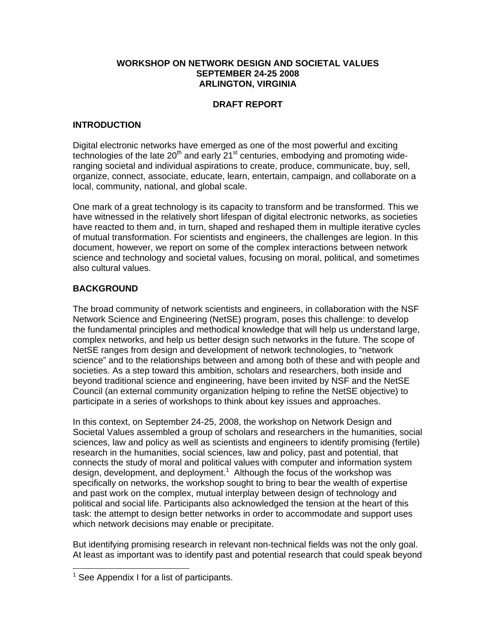### **WORKSHOP ON NETWORK DESIGN AND SOCIETAL VALUES SEPTEMBER 24-25 2008 ARLINGTON, VIRGINIA**

# **DRAFT REPORT**

### **INTRODUCTION**

Digital electronic networks have emerged as one of the most powerful and exciting technologies of the late 20<sup>th</sup> and early 21<sup>st</sup> centuries, embodying and promoting wideranging societal and individual aspirations to create, produce, communicate, buy, sell, organize, connect, associate, educate, learn, entertain, campaign, and collaborate on a local, community, national, and global scale.

One mark of a great technology is its capacity to transform and be transformed. This we have witnessed in the relatively short lifespan of digital electronic networks, as societies have reacted to them and, in turn, shaped and reshaped them in multiple iterative cycles of mutual transformation. For scientists and engineers, the challenges are legion. In this document, however, we report on some of the complex interactions between network science and technology and societal values, focusing on moral, political, and sometimes also cultural values.

## **BACKGROUND**

The broad community of network scientists and engineers, in collaboration with the NSF Network Science and Engineering (NetSE) program, poses this challenge: to develop the fundamental principles and methodical knowledge that will help us understand large, complex networks, and help us better design such networks in the future. The scope of NetSE ranges from design and development of network technologies, to "network science" and to the relationships between and among both of these and with people and societies. As a step toward this ambition, scholars and researchers, both inside and beyond traditional science and engineering, have been invited by NSF and the NetSE Council (an external community organization helping to refine the NetSE objective) to participate in a series of workshops to think about key issues and approaches.

In this context, on September 24-25, 2008, the workshop on Network Design and Societal Values assembled a group of scholars and researchers in the humanities, social sciences, law and policy as well as scientists and engineers to identify promising (fertile) research in the humanities, social sciences, law and policy, past and potential, that connects the study of moral and political values with computer and information system design, development, and deployment.<sup>1</sup> Although the focus of the workshop was specifically on networks, the workshop sought to bring to bear the wealth of expertise and past work on the complex, mutual interplay between design of technology and political and social life. Participants also acknowledged the tension at the heart of this task: the attempt to design better networks in order to accommodate and support uses which network decisions may enable or precipitate.

But identifying promising research in relevant non-technical fields was not the only goal. At least as important was to identify past and potential research that could speak beyond

 $\overline{a}$ 

<sup>&</sup>lt;sup>1</sup> See Appendix I for a list of participants.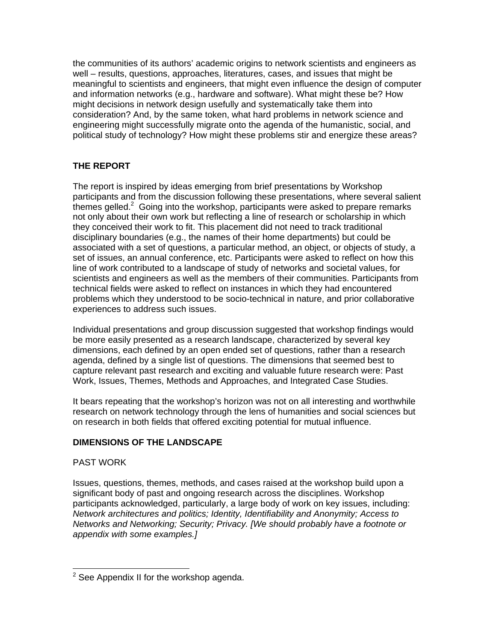the communities of its authors' academic origins to network scientists and engineers as well – results, questions, approaches, literatures, cases, and issues that might be meaningful to scientists and engineers, that might even influence the design of computer and information networks (e.g., hardware and software). What might these be? How might decisions in network design usefully and systematically take them into consideration? And, by the same token, what hard problems in network science and engineering might successfully migrate onto the agenda of the humanistic, social, and political study of technology? How might these problems stir and energize these areas?

# **THE REPORT**

The report is inspired by ideas emerging from brief presentations by Workshop participants and from the discussion following these presentations, where several salient themes gelled.<sup>2</sup> Going into the workshop, participants were asked to prepare remarks not only about their own work but reflecting a line of research or scholarship in which they conceived their work to fit. This placement did not need to track traditional disciplinary boundaries (e.g., the names of their home departments) but could be associated with a set of questions, a particular method, an object, or objects of study, a set of issues, an annual conference, etc. Participants were asked to reflect on how this line of work contributed to a landscape of study of networks and societal values, for scientists and engineers as well as the members of their communities. Participants from technical fields were asked to reflect on instances in which they had encountered problems which they understood to be socio-technical in nature, and prior collaborative experiences to address such issues.

Individual presentations and group discussion suggested that workshop findings would be more easily presented as a research landscape, characterized by several key dimensions, each defined by an open ended set of questions, rather than a research agenda, defined by a single list of questions. The dimensions that seemed best to capture relevant past research and exciting and valuable future research were: Past Work, Issues, Themes, Methods and Approaches, and Integrated Case Studies.

It bears repeating that the workshop's horizon was not on all interesting and worthwhile research on network technology through the lens of humanities and social sciences but on research in both fields that offered exciting potential for mutual influence.

# **DIMENSIONS OF THE LANDSCAPE**

## PAST WORK

-

Issues, questions, themes, methods, and cases raised at the workshop build upon a significant body of past and ongoing research across the disciplines. Workshop participants acknowledged, particularly, a large body of work on key issues, including: *Network architectures and politics; Identity, Identifiability and Anonymity; Access to Networks and Networking; Security; Privacy. [We should probably have a footnote or appendix with some examples.]*

 $2$  See Appendix II for the workshop agenda.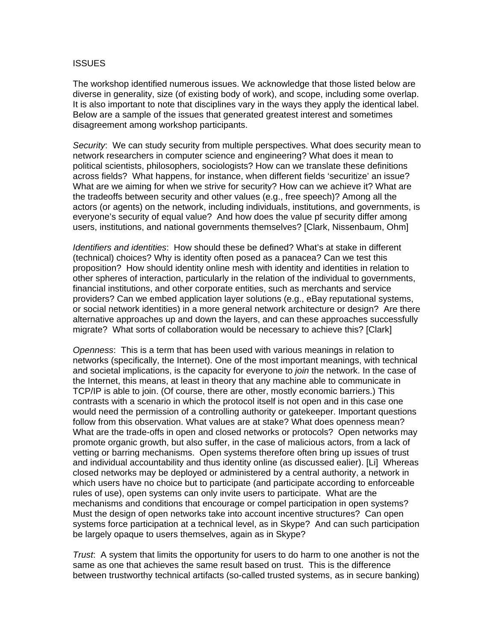#### **ISSUES**

The workshop identified numerous issues. We acknowledge that those listed below are diverse in generality, size (of existing body of work), and scope, including some overlap. It is also important to note that disciplines vary in the ways they apply the identical label. Below are a sample of the issues that generated greatest interest and sometimes disagreement among workshop participants.

*Security*: We can study security from multiple perspectives. What does security mean to network researchers in computer science and engineering? What does it mean to political scientists, philosophers, sociologists? How can we translate these definitions across fields? What happens, for instance, when different fields 'securitize' an issue? What are we aiming for when we strive for security? How can we achieve it? What are the tradeoffs between security and other values (e.g., free speech)? Among all the actors (or agents) on the network, including individuals, institutions, and governments, is everyone's security of equal value? And how does the value pf security differ among users, institutions, and national governments themselves? [Clark, Nissenbaum, Ohm]

*Identifiers and identities*: How should these be defined? What's at stake in different (technical) choices? Why is identity often posed as a panacea? Can we test this proposition? How should identity online mesh with identity and identities in relation to other spheres of interaction, particularly in the relation of the individual to governments, financial institutions, and other corporate entities, such as merchants and service providers? Can we embed application layer solutions (e.g., eBay reputational systems, or social network identities) in a more general network architecture or design? Are there alternative approaches up and down the layers, and can these approaches successfully migrate? What sorts of collaboration would be necessary to achieve this? [Clark]

*Openness*: This is a term that has been used with various meanings in relation to networks (specifically, the Internet). One of the most important meanings, with technical and societal implications, is the capacity for everyone to *join* the network. In the case of the Internet, this means, at least in theory that any machine able to communicate in TCP/IP is able to join. (Of course, there are other, mostly economic barriers.) This contrasts with a scenario in which the protocol itself is not open and in this case one would need the permission of a controlling authority or gatekeeper. Important questions follow from this observation. What values are at stake? What does openness mean? What are the trade-offs in open and closed networks or protocols? Open networks may promote organic growth, but also suffer, in the case of malicious actors, from a lack of vetting or barring mechanisms. Open systems therefore often bring up issues of trust and individual accountability and thus identity online (as discussed ealier). [Li] Whereas closed networks may be deployed or administered by a central authority, a network in which users have no choice but to participate (and participate according to enforceable rules of use), open systems can only invite users to participate. What are the mechanisms and conditions that encourage or compel participation in open systems? Must the design of open networks take into account incentive structures? Can open systems force participation at a technical level, as in Skype? And can such participation be largely opaque to users themselves, again as in Skype?

*Trust*: A system that limits the opportunity for users to do harm to one another is not the same as one that achieves the same result based on trust. This is the difference between trustworthy technical artifacts (so-called trusted systems, as in secure banking)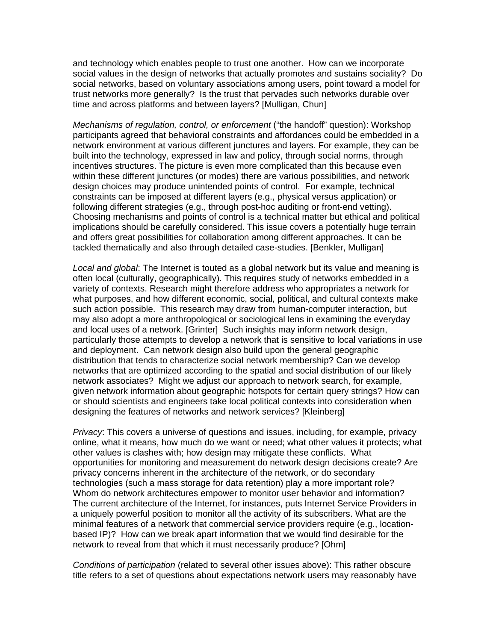and technology which enables people to trust one another. How can we incorporate social values in the design of networks that actually promotes and sustains sociality? Do social networks, based on voluntary associations among users, point toward a model for trust networks more generally? Is the trust that pervades such networks durable over time and across platforms and between layers? [Mulligan, Chun]

*Mechanisms of regulation, control, or enforcement* ("the handoff" question): Workshop participants agreed that behavioral constraints and affordances could be embedded in a network environment at various different junctures and layers. For example, they can be built into the technology, expressed in law and policy, through social norms, through incentives structures. The picture is even more complicated than this because even within these different junctures (or modes) there are various possibilities, and network design choices may produce unintended points of control. For example, technical constraints can be imposed at different layers (e.g., physical versus application) or following different strategies (e.g., through post-hoc auditing or front-end vetting). Choosing mechanisms and points of control is a technical matter but ethical and political implications should be carefully considered. This issue covers a potentially huge terrain and offers great possibilities for collaboration among different approaches. It can be tackled thematically and also through detailed case-studies. [Benkler, Mulligan]

*Local and global*: The Internet is touted as a global network but its value and meaning is often local (culturally, geographically). This requires study of networks embedded in a variety of contexts. Research might therefore address who appropriates a network for what purposes, and how different economic, social, political, and cultural contexts make such action possible. This research may draw from human-computer interaction, but may also adopt a more anthropological or sociological lens in examining the everyday and local uses of a network. [Grinter] Such insights may inform network design, particularly those attempts to develop a network that is sensitive to local variations in use and deployment. Can network design also build upon the general geographic distribution that tends to characterize social network membership? Can we develop networks that are optimized according to the spatial and social distribution of our likely network associates? Might we adjust our approach to network search, for example, given network information about geographic hotspots for certain query strings? How can or should scientists and engineers take local political contexts into consideration when designing the features of networks and network services? [Kleinberg]

*Privacy*: This covers a universe of questions and issues, including, for example, privacy online, what it means, how much do we want or need; what other values it protects; what other values is clashes with; how design may mitigate these conflicts. What opportunities for monitoring and measurement do network design decisions create? Are privacy concerns inherent in the architecture of the network, or do secondary technologies (such a mass storage for data retention) play a more important role? Whom do network architectures empower to monitor user behavior and information? The current architecture of the Internet, for instances, puts Internet Service Providers in a uniquely powerful position to monitor all the activity of its subscribers. What are the minimal features of a network that commercial service providers require (e.g., locationbased IP)? How can we break apart information that we would find desirable for the network to reveal from that which it must necessarily produce? [Ohm]

*Conditions of participation* (related to several other issues above): This rather obscure title refers to a set of questions about expectations network users may reasonably have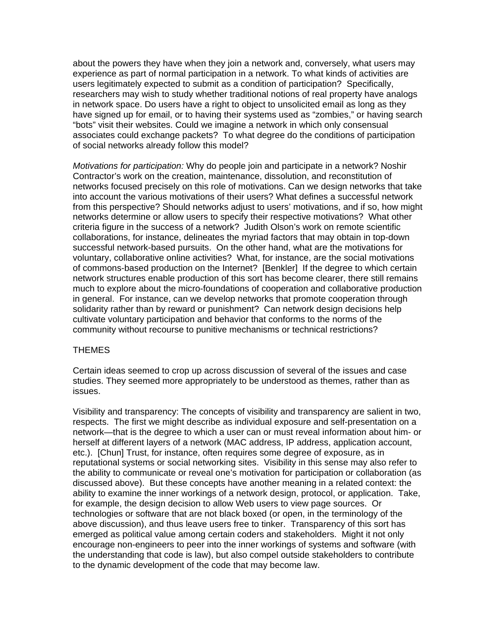about the powers they have when they join a network and, conversely, what users may experience as part of normal participation in a network. To what kinds of activities are users legitimately expected to submit as a condition of participation? Specifically, researchers may wish to study whether traditional notions of real property have analogs in network space. Do users have a right to object to unsolicited email as long as they have signed up for email, or to having their systems used as "zombies," or having search "bots" visit their websites. Could we imagine a network in which only consensual associates could exchange packets? To what degree do the conditions of participation of social networks already follow this model?

*Motivations for participation:* Why do people join and participate in a network? Noshir Contractor's work on the creation, maintenance, dissolution, and reconstitution of networks focused precisely on this role of motivations. Can we design networks that take into account the various motivations of their users? What defines a successful network from this perspective? Should networks adjust to users' motivations, and if so, how might networks determine or allow users to specify their respective motivations? What other criteria figure in the success of a network? Judith Olson's work on remote scientific collaborations, for instance, delineates the myriad factors that may obtain in top-down successful network-based pursuits. On the other hand, what are the motivations for voluntary, collaborative online activities? What, for instance, are the social motivations of commons-based production on the Internet? [Benkler] If the degree to which certain network structures enable production of this sort has become clearer, there still remains much to explore about the micro-foundations of cooperation and collaborative production in general. For instance, can we develop networks that promote cooperation through solidarity rather than by reward or punishment? Can network design decisions help cultivate voluntary participation and behavior that conforms to the norms of the community without recourse to punitive mechanisms or technical restrictions?

## THEMES

Certain ideas seemed to crop up across discussion of several of the issues and case studies. They seemed more appropriately to be understood as themes, rather than as issues.

Visibility and transparency: The concepts of visibility and transparency are salient in two, respects. The first we might describe as individual exposure and self-presentation on a network—that is the degree to which a user can or must reveal information about him- or herself at different layers of a network (MAC address, IP address, application account, etc.). [Chun] Trust, for instance, often requires some degree of exposure, as in reputational systems or social networking sites. Visibility in this sense may also refer to the ability to communicate or reveal one's motivation for participation or collaboration (as discussed above). But these concepts have another meaning in a related context: the ability to examine the inner workings of a network design, protocol, or application. Take, for example, the design decision to allow Web users to view page sources. Or technologies or software that are not black boxed (or open, in the terminology of the above discussion), and thus leave users free to tinker. Transparency of this sort has emerged as political value among certain coders and stakeholders. Might it not only encourage non-engineers to peer into the inner workings of systems and software (with the understanding that code is law), but also compel outside stakeholders to contribute to the dynamic development of the code that may become law.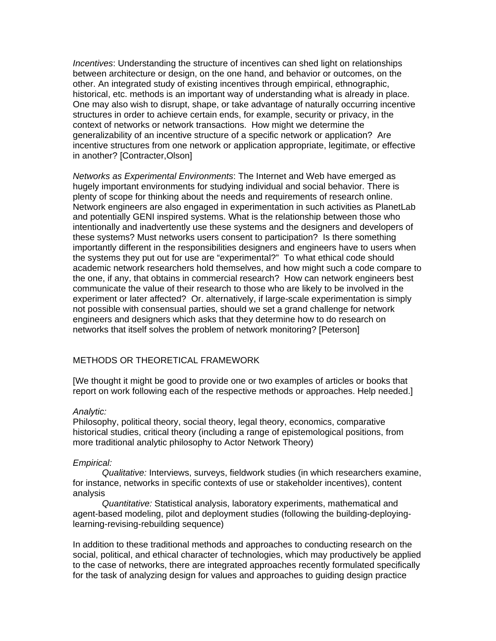*Incentives*: Understanding the structure of incentives can shed light on relationships between architecture or design, on the one hand, and behavior or outcomes, on the other. An integrated study of existing incentives through empirical, ethnographic, historical, etc. methods is an important way of understanding what is already in place. One may also wish to disrupt, shape, or take advantage of naturally occurring incentive structures in order to achieve certain ends, for example, security or privacy, in the context of networks or network transactions. How might we determine the generalizability of an incentive structure of a specific network or application? Are incentive structures from one network or application appropriate, legitimate, or effective in another? [Contracter,Olson]

*Networks as Experimental Environments*: The Internet and Web have emerged as hugely important environments for studying individual and social behavior. There is plenty of scope for thinking about the needs and requirements of research online. Network engineers are also engaged in experimentation in such activities as PlanetLab and potentially GENI inspired systems. What is the relationship between those who intentionally and inadvertently use these systems and the designers and developers of these systems? Must networks users consent to participation? Is there something importantly different in the responsibilities designers and engineers have to users when the systems they put out for use are "experimental?" To what ethical code should academic network researchers hold themselves, and how might such a code compare to the one, if any, that obtains in commercial research? How can network engineers best communicate the value of their research to those who are likely to be involved in the experiment or later affected? Or. alternatively, if large-scale experimentation is simply not possible with consensual parties, should we set a grand challenge for network engineers and designers which asks that they determine how to do research on networks that itself solves the problem of network monitoring? [Peterson]

## METHODS OR THEORETICAL FRAMEWORK

[We thought it might be good to provide one or two examples of articles or books that report on work following each of the respective methods or approaches. Help needed.]

### *Analytic:*

Philosophy, political theory, social theory, legal theory, economics, comparative historical studies, critical theory (including a range of epistemological positions, from more traditional analytic philosophy to Actor Network Theory)

#### *Empirical:*

*Qualitative:* Interviews, surveys, fieldwork studies (in which researchers examine, for instance, networks in specific contexts of use or stakeholder incentives), content analysis

*Quantitative:* Statistical analysis, laboratory experiments, mathematical and agent-based modeling, pilot and deployment studies (following the building-deployinglearning-revising-rebuilding sequence)

In addition to these traditional methods and approaches to conducting research on the social, political, and ethical character of technologies, which may productively be applied to the case of networks, there are integrated approaches recently formulated specifically for the task of analyzing design for values and approaches to guiding design practice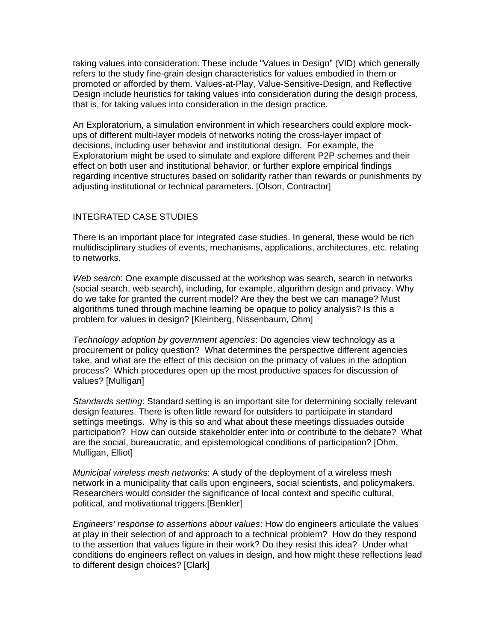taking values into consideration. These include "Values in Design" (VID) which generally refers to the study fine-grain design characteristics for values embodied in them or promoted or afforded by them. Values-at-Play, Value-Sensitive-Design, and Reflective Design include heuristics for taking values into consideration during the design process, that is, for taking values into consideration in the design practice.

An Exploratorium, a simulation environment in which researchers could explore mockups of different multi-layer models of networks noting the cross-layer impact of decisions, including user behavior and institutional design. For example, the Exploratorium might be used to simulate and explore different P2P schemes and their effect on both user and institutional behavior, or further explore empirical findings regarding incentive structures based on solidarity rather than rewards or punishments by adjusting institutional or technical parameters. [Olson, Contractor]

### INTEGRATED CASE STUDIES

There is an important place for integrated case studies. In general, these would be rich multidisciplinary studies of events, mechanisms, applications, architectures, etc. relating to networks.

*Web search*: One example discussed at the workshop was search, search in networks (social search, web search), including, for example, algorithm design and privacy. Why do we take for granted the current model? Are they the best we can manage? Must algorithms tuned through machine learning be opaque to policy analysis? Is this a problem for values in design? [Kleinberg, Nissenbaum, Ohm]

*Technology adoption by government agencies*: Do agencies view technology as a procurement or policy question? What determines the perspective different agencies take, and what are the effect of this decision on the primacy of values in the adoption process? Which procedures open up the most productive spaces for discussion of values? [Mulligan]

*Standards setting*: Standard setting is an important site for determining socially relevant design features. There is often little reward for outsiders to participate in standard settings meetings. Why is this so and what about these meetings dissuades outside participation? How can outside stakeholder enter into or contribute to the debate? What are the social, bureaucratic, and epistemological conditions of participation? [Ohm, Mulligan, Elliot]

*Municipal wireless mesh network*s: A study of the deployment of a wireless mesh network in a municipality that calls upon engineers, social scientists, and policymakers. Researchers would consider the significance of local context and specific cultural, political, and motivational triggers.[Benkler]

*Engineers' response to assertions about values*: How do engineers articulate the values at play in their selection of and approach to a technical problem? How do they respond to the assertion that values figure in their work? Do they resist this idea? Under what conditions do engineers reflect on values in design, and how might these reflections lead to different design choices? [Clark]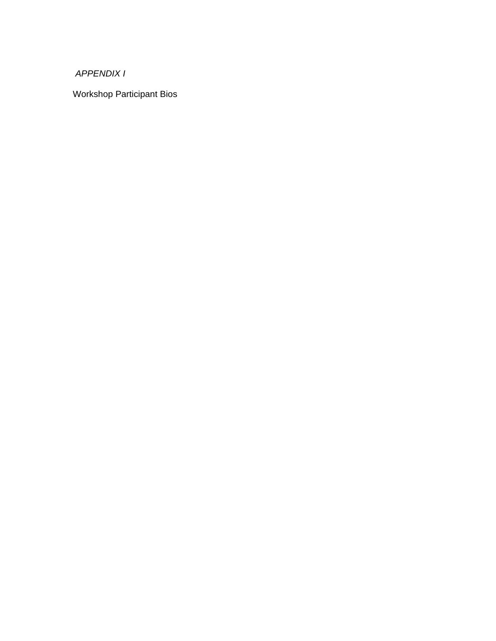*APPENDIX I* 

Workshop Participant Bios